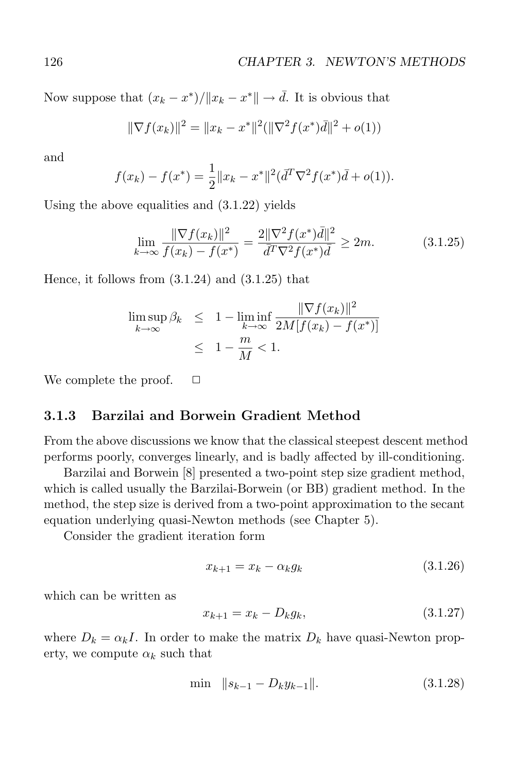Now suppose that  $(x_k - x^*)/||x_k - x^*|| \to \overline{d}$ . It is obvious that

$$
\|\nabla f(x_k)\|^2 = \|x_k - x^*\|^2 (\|\nabla^2 f(x^*)\overline{d}\|^2 + o(1))
$$

and

$$
f(x_k) - f(x^*) = \frac{1}{2} ||x_k - x^*||^2 (\bar{d}^T \nabla^2 f(x^*) \bar{d} + o(1)).
$$

Using the above equalities and (3.1.22) yields

$$
\lim_{k \to \infty} \frac{\|\nabla f(x_k)\|^2}{f(x_k) - f(x^*)} = \frac{2\|\nabla^2 f(x^*)\bar{d}\|^2}{\bar{d}^T \nabla^2 f(x^*)\bar{d}} \ge 2m. \tag{3.1.25}
$$

Hence, it follows from  $(3.1.24)$  and  $(3.1.25)$  that

$$
\limsup_{k \to \infty} \beta_k \leq 1 - \liminf_{k \to \infty} \frac{\|\nabla f(x_k)\|^2}{2M[f(x_k) - f(x^*)]}
$$
  

$$
\leq 1 - \frac{m}{M} < 1.
$$

We complete the proof.  $\Box$ 

## **3.1.3 Barzilai and Borwein Gradient Method**

From the above discussions we know that the classical steepest descent method performs poorly, converges linearly, and is badly affected by ill-conditioning.

Barzilai and Borwein [8] presented a two-point step size gradient method, which is called usually the Barzilai-Borwein (or BB) gradient method. In the method, the step size is derived from a two-point approximation to the secant equation underlying quasi-Newton methods (see Chapter 5).

Consider the gradient iteration form

$$
x_{k+1} = x_k - \alpha_k g_k \tag{3.1.26}
$$

which can be written as

$$
x_{k+1} = x_k - D_k g_k, \t\t(3.1.27)
$$

where  $D_k = \alpha_k I$ . In order to make the matrix  $D_k$  have quasi-Newton property, we compute  $\alpha_k$  such that

$$
\min \|s_{k-1} - D_k y_{k-1}\|.\tag{3.1.28}
$$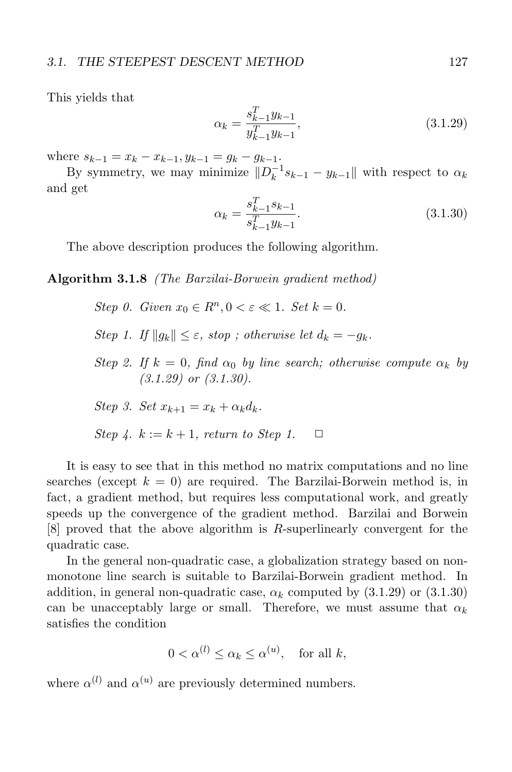This yields that

$$
\alpha_k = \frac{s_{k-1}^T y_{k-1}}{y_{k-1}^T y_{k-1}},\tag{3.1.29}
$$

where  $s_{k-1} = x_k - x_{k-1}, y_{k-1} = g_k - g_{k-1}.$ 

By symmetry, we may minimize  $||D_k^{-1} s_{k-1} - y_{k-1}||$  with respect to  $\alpha_k$ and get

$$
\alpha_k = \frac{s_{k-1}^T s_{k-1}}{s_{k-1}^T y_{k-1}}.\tag{3.1.30}
$$

The above description produces the following algorithm.

**Algorithm 3.1.8** (The Barzilai-Borwein gradient method)

Step 0. Given  $x_0 \in R^n, 0 \leq \varepsilon \leq 1$ . Set  $k = 0$ .

- Step 1. If  $||g_k|| \leq \varepsilon$ , stop; otherwise let  $d_k = -g_k$ .
- Step 2. If  $k = 0$ , find  $\alpha_0$  by line search; otherwise compute  $\alpha_k$  by  $(3.1.29)$  or  $(3.1.30)$ .

Step 3. Set 
$$
x_{k+1} = x_k + \alpha_k d_k
$$
.

Step 4. 
$$
k := k + 1
$$
, return to Step 1.  $\Box$ 

It is easy to see that in this method no matrix computations and no line searches (except  $k = 0$ ) are required. The Barzilai-Borwein method is, in fact, a gradient method, but requires less computational work, and greatly speeds up the convergence of the gradient method. Barzilai and Borwein [8] proved that the above algorithm is R-superlinearly convergent for the quadratic case.

In the general non-quadratic case, a globalization strategy based on nonmonotone line search is suitable to Barzilai-Borwein gradient method. In addition, in general non-quadratic case,  $\alpha_k$  computed by  $(3.1.29)$  or  $(3.1.30)$ can be unacceptably large or small. Therefore, we must assume that  $\alpha_k$ satisfies the condition

$$
0 < \alpha^{(l)} \le \alpha_k \le \alpha^{(u)}, \quad \text{for all } k,
$$

where  $\alpha^{(l)}$  and  $\alpha^{(u)}$  are previously determined numbers.